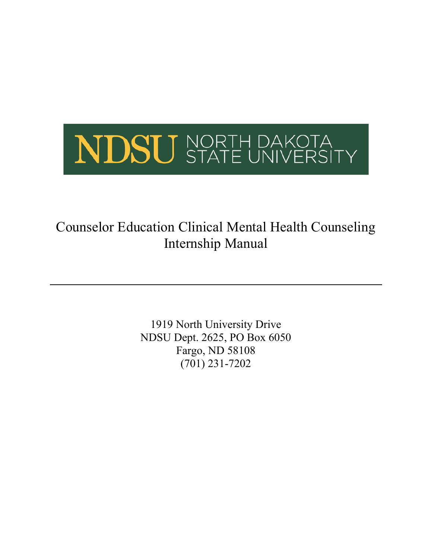

# Counselor Education Clinical Mental Health Counseling Internship Manual

1919 North University Drive NDSU Dept. 2625, PO Box 6050 Fargo, ND 58108 (701) 231-7202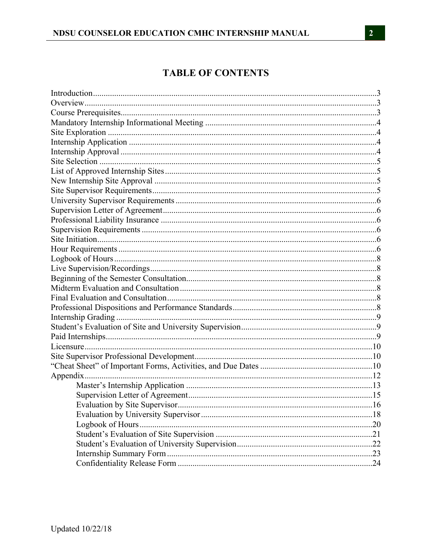# **TABLE OF CONTENTS**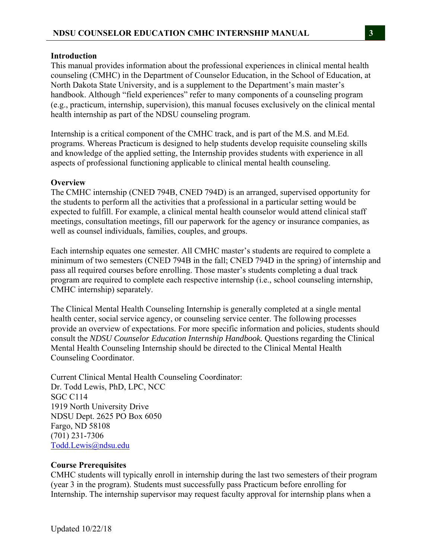### **Introduction**

This manual provides information about the professional experiences in clinical mental health counseling (CMHC) in the Department of Counselor Education, in the School of Education, at North Dakota State University, and is a supplement to the Department's main master's handbook. Although "field experiences" refer to many components of a counseling program (e.g., practicum, internship, supervision), this manual focuses exclusively on the clinical mental health internship as part of the NDSU counseling program.

Internship is a critical component of the CMHC track, and is part of the M.S. and M.Ed. programs. Whereas Practicum is designed to help students develop requisite counseling skills and knowledge of the applied setting, the Internship provides students with experience in all aspects of professional functioning applicable to clinical mental health counseling.

## **Overview**

The CMHC internship (CNED 794B, CNED 794D) is an arranged, supervised opportunity for the students to perform all the activities that a professional in a particular setting would be expected to fulfill. For example, a clinical mental health counselor would attend clinical staff meetings, consultation meetings, fill our paperwork for the agency or insurance companies, as well as counsel individuals, families, couples, and groups.

Each internship equates one semester. All CMHC master's students are required to complete a minimum of two semesters (CNED 794B in the fall; CNED 794D in the spring) of internship and pass all required courses before enrolling. Those master's students completing a dual track program are required to complete each respective internship (i.e., school counseling internship, CMHC internship) separately.

The Clinical Mental Health Counseling Internship is generally completed at a single mental health center, social service agency, or counseling service center. The following processes provide an overview of expectations. For more specific information and policies, students should consult the *NDSU Counselor Education Internship Handbook.* Questions regarding the Clinical Mental Health Counseling Internship should be directed to the Clinical Mental Health Counseling Coordinator.

Current Clinical Mental Health Counseling Coordinator: Dr. Todd Lewis, PhD, LPC, NCC SGC C114 1919 North University Drive NDSU Dept. 2625 PO Box 6050 Fargo, ND 58108 (701) 231-7306 Todd.Lewis@ndsu.edu

### **Course Prerequisites**

CMHC students will typically enroll in internship during the last two semesters of their program (year 3 in the program). Students must successfully pass Practicum before enrolling for Internship. The internship supervisor may request faculty approval for internship plans when a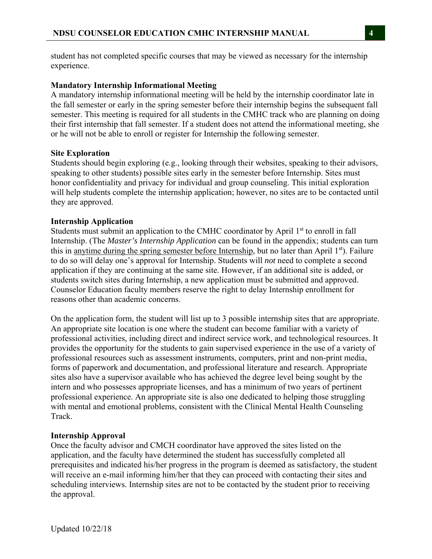student has not completed specific courses that may be viewed as necessary for the internship experience.

# **Mandatory Internship Informational Meeting**

A mandatory internship informational meeting will be held by the internship coordinator late in the fall semester or early in the spring semester before their internship begins the subsequent fall semester. This meeting is required for all students in the CMHC track who are planning on doing their first internship that fall semester. If a student does not attend the informational meeting, she or he will not be able to enroll or register for Internship the following semester.

# **Site Exploration**

Students should begin exploring (e.g., looking through their websites, speaking to their advisors, speaking to other students) possible sites early in the semester before Internship. Sites must honor confidentiality and privacy for individual and group counseling. This initial exploration will help students complete the internship application; however, no sites are to be contacted until they are approved.

# **Internship Application**

Students must submit an application to the CMHC coordinator by April 1<sup>st</sup> to enroll in fall Internship. (The *Master's Internship Application* can be found in the appendix; students can turn this in anytime during the spring semester before Internship, but no later than April 1<sup>st</sup>). Failure to do so will delay one's approval for Internship. Students will *not* need to complete a second application if they are continuing at the same site. However, if an additional site is added, or students switch sites during Internship, a new application must be submitted and approved. Counselor Education faculty members reserve the right to delay Internship enrollment for reasons other than academic concerns.

On the application form, the student will list up to 3 possible internship sites that are appropriate. An appropriate site location is one where the student can become familiar with a variety of professional activities, including direct and indirect service work, and technological resources. It provides the opportunity for the students to gain supervised experience in the use of a variety of professional resources such as assessment instruments, computers, print and non-print media, forms of paperwork and documentation, and professional literature and research. Appropriate sites also have a supervisor available who has achieved the degree level being sought by the intern and who possesses appropriate licenses, and has a minimum of two years of pertinent professional experience. An appropriate site is also one dedicated to helping those struggling with mental and emotional problems, consistent with the Clinical Mental Health Counseling Track.

# **Internship Approval**

Once the faculty advisor and CMCH coordinator have approved the sites listed on the application, and the faculty have determined the student has successfully completed all prerequisites and indicated his/her progress in the program is deemed as satisfactory, the student will receive an e-mail informing him/her that they can proceed with contacting their sites and scheduling interviews. Internship sites are not to be contacted by the student prior to receiving the approval.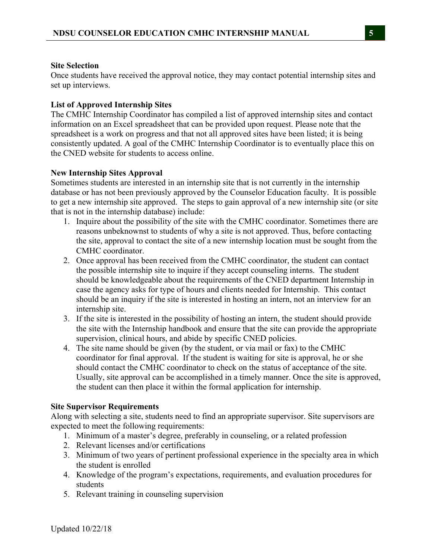# **Site Selection**

Once students have received the approval notice, they may contact potential internship sites and set up interviews.

# **List of Approved Internship Sites**

The CMHC Internship Coordinator has compiled a list of approved internship sites and contact information on an Excel spreadsheet that can be provided upon request. Please note that the spreadsheet is a work on progress and that not all approved sites have been listed; it is being consistently updated. A goal of the CMHC Internship Coordinator is to eventually place this on the CNED website for students to access online.

# **New Internship Sites Approval**

Sometimes students are interested in an internship site that is not currently in the internship database or has not been previously approved by the Counselor Education faculty. It is possible to get a new internship site approved. The steps to gain approval of a new internship site (or site that is not in the internship database) include:

- 1. Inquire about the possibility of the site with the CMHC coordinator. Sometimes there are reasons unbeknownst to students of why a site is not approved. Thus, before contacting the site, approval to contact the site of a new internship location must be sought from the CMHC coordinator.
- 2. Once approval has been received from the CMHC coordinator, the student can contact the possible internship site to inquire if they accept counseling interns. The student should be knowledgeable about the requirements of the CNED department Internship in case the agency asks for type of hours and clients needed for Internship. This contact should be an inquiry if the site is interested in hosting an intern, not an interview for an internship site.
- 3. If the site is interested in the possibility of hosting an intern, the student should provide the site with the Internship handbook and ensure that the site can provide the appropriate supervision, clinical hours, and abide by specific CNED policies.
- 4. The site name should be given (by the student, or via mail or fax) to the CMHC coordinator for final approval. If the student is waiting for site is approval, he or she should contact the CMHC coordinator to check on the status of acceptance of the site. Usually, site approval can be accomplished in a timely manner. Once the site is approved, the student can then place it within the formal application for internship.

# **Site Supervisor Requirements**

Along with selecting a site, students need to find an appropriate supervisor. Site supervisors are expected to meet the following requirements:

- 1. Minimum of a master's degree, preferably in counseling, or a related profession
- 2. Relevant licenses and/or certifications
- 3. Minimum of two years of pertinent professional experience in the specialty area in which the student is enrolled
- 4. Knowledge of the program's expectations, requirements, and evaluation procedures for students
- 5. Relevant training in counseling supervision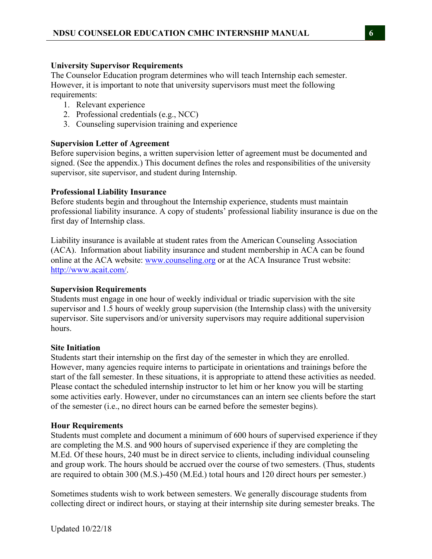# **University Supervisor Requirements**

The Counselor Education program determines who will teach Internship each semester. However, it is important to note that university supervisors must meet the following requirements:

- 1. Relevant experience
- 2. Professional credentials (e.g., NCC)
- 3. Counseling supervision training and experience

# **Supervision Letter of Agreement**

Before supervision begins, a written supervision letter of agreement must be documented and signed. (See the appendix.) This document defines the roles and responsibilities of the university supervisor, site supervisor, and student during Internship.

# **Professional Liability Insurance**

Before students begin and throughout the Internship experience, students must maintain professional liability insurance. A copy of students' professional liability insurance is due on the first day of Internship class.

Liability insurance is available at student rates from the American Counseling Association (ACA). Information about liability insurance and student membership in ACA can be found online at the ACA website: www.counseling.org or at the ACA Insurance Trust website: http://www.acait.com/.

# **Supervision Requirements**

Students must engage in one hour of weekly individual or triadic supervision with the site supervisor and 1.5 hours of weekly group supervision (the Internship class) with the university supervisor. Site supervisors and/or university supervisors may require additional supervision hours.

# **Site Initiation**

Students start their internship on the first day of the semester in which they are enrolled. However, many agencies require interns to participate in orientations and trainings before the start of the fall semester. In these situations, it is appropriate to attend these activities as needed. Please contact the scheduled internship instructor to let him or her know you will be starting some activities early. However, under no circumstances can an intern see clients before the start of the semester (i.e., no direct hours can be earned before the semester begins).

# **Hour Requirements**

Students must complete and document a minimum of 600 hours of supervised experience if they are completing the M.S. and 900 hours of supervised experience if they are completing the M.Ed. Of these hours, 240 must be in direct service to clients, including individual counseling and group work. The hours should be accrued over the course of two semesters. (Thus, students are required to obtain 300 (M.S.)-450 (M.Ed.) total hours and 120 direct hours per semester.)

Sometimes students wish to work between semesters. We generally discourage students from collecting direct or indirect hours, or staying at their internship site during semester breaks. The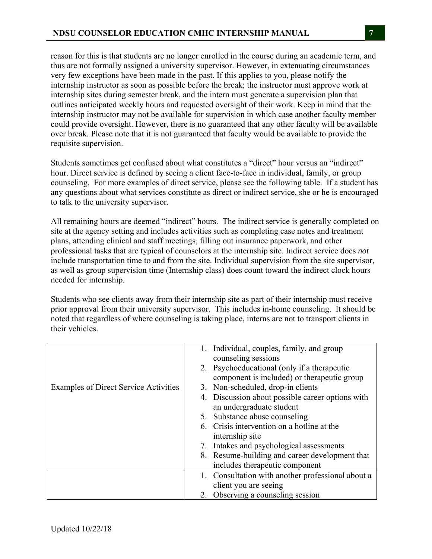reason for this is that students are no longer enrolled in the course during an academic term, and thus are not formally assigned a university supervisor. However, in extenuating circumstances very few exceptions have been made in the past. If this applies to you, please notify the internship instructor as soon as possible before the break; the instructor must approve work at internship sites during semester break, and the intern must generate a supervision plan that outlines anticipated weekly hours and requested oversight of their work. Keep in mind that the internship instructor may not be available for supervision in which case another faculty member could provide oversight. However, there is no guaranteed that any other faculty will be available over break. Please note that it is not guaranteed that faculty would be available to provide the requisite supervision.

Students sometimes get confused about what constitutes a "direct" hour versus an "indirect" hour. Direct service is defined by seeing a client face-to-face in individual, family, or group counseling. For more examples of direct service, please see the following table. If a student has any questions about what services constitute as direct or indirect service, she or he is encouraged to talk to the university supervisor.

All remaining hours are deemed "indirect" hours. The indirect service is generally completed on site at the agency setting and includes activities such as completing case notes and treatment plans, attending clinical and staff meetings, filling out insurance paperwork, and other professional tasks that are typical of counselors at the internship site. Indirect service does *not*  include transportation time to and from the site. Individual supervision from the site supervisor, as well as group supervision time (Internship class) does count toward the indirect clock hours needed for internship.

Students who see clients away from their internship site as part of their internship must receive prior approval from their university supervisor. This includes in-home counseling. It should be noted that regardless of where counseling is taking place, interns are not to transport clients in their vehicles.

|                                              | 1. Individual, couples, family, and group<br>counseling sessions             |
|----------------------------------------------|------------------------------------------------------------------------------|
|                                              | 2. Psychoeducational (only if a therapeutic                                  |
|                                              | component is included) or therapeutic group                                  |
| <b>Examples of Direct Service Activities</b> | 3. Non-scheduled, drop-in clients                                            |
|                                              | 4. Discussion about possible career options with<br>an undergraduate student |
|                                              |                                                                              |
|                                              | 5. Substance abuse counseling                                                |
|                                              | 6. Crisis intervention on a hotline at the                                   |
|                                              | internship site                                                              |
|                                              | 7. Intakes and psychological assessments                                     |
|                                              | 8. Resume-building and career development that                               |
|                                              | includes therapeutic component                                               |
|                                              | 1. Consultation with another professional about a                            |
|                                              | client you are seeing                                                        |
|                                              | 2. Observing a counseling session                                            |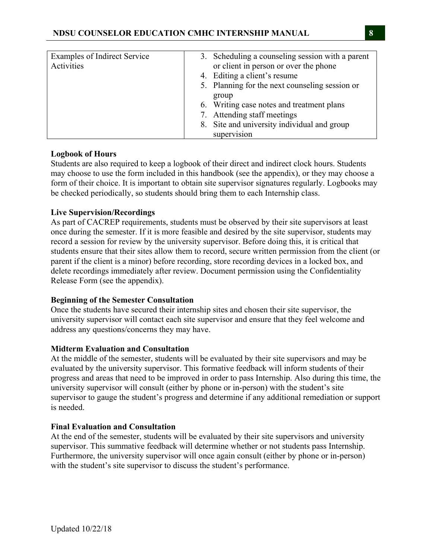| Examples of Indirect Service | 3. Scheduling a counseling session with a parent |
|------------------------------|--------------------------------------------------|
| Activities                   | or client in person or over the phone            |
|                              | 4. Editing a client's resume                     |
|                              | 5. Planning for the next counseling session or   |
|                              | group                                            |
|                              | 6. Writing case notes and treatment plans        |
|                              | 7. Attending staff meetings                      |
|                              | 8. Site and university individual and group      |
|                              | supervision                                      |

# **Logbook of Hours**

Students are also required to keep a logbook of their direct and indirect clock hours. Students may choose to use the form included in this handbook (see the appendix), or they may choose a form of their choice. It is important to obtain site supervisor signatures regularly. Logbooks may be checked periodically, so students should bring them to each Internship class.

# **Live Supervision/Recordings**

As part of CACREP requirements, students must be observed by their site supervisors at least once during the semester. If it is more feasible and desired by the site supervisor, students may record a session for review by the university supervisor. Before doing this, it is critical that students ensure that their sites allow them to record, secure written permission from the client (or parent if the client is a minor) before recording, store recording devices in a locked box, and delete recordings immediately after review. Document permission using the Confidentiality Release Form (see the appendix).

# **Beginning of the Semester Consultation**

Once the students have secured their internship sites and chosen their site supervisor, the university supervisor will contact each site supervisor and ensure that they feel welcome and address any questions/concerns they may have.

# **Midterm Evaluation and Consultation**

At the middle of the semester, students will be evaluated by their site supervisors and may be evaluated by the university supervisor. This formative feedback will inform students of their progress and areas that need to be improved in order to pass Internship. Also during this time, the university supervisor will consult (either by phone or in-person) with the student's site supervisor to gauge the student's progress and determine if any additional remediation or support is needed.

# **Final Evaluation and Consultation**

At the end of the semester, students will be evaluated by their site supervisors and university supervisor. This summative feedback will determine whether or not students pass Internship. Furthermore, the university supervisor will once again consult (either by phone or in-person) with the student's site supervisor to discuss the student's performance.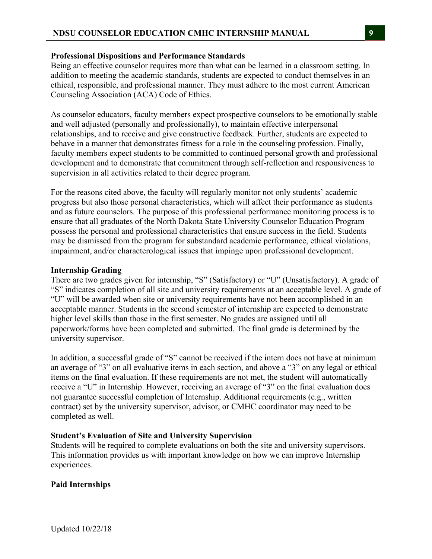## **Professional Dispositions and Performance Standards**

Being an effective counselor requires more than what can be learned in a classroom setting. In addition to meeting the academic standards, students are expected to conduct themselves in an ethical, responsible, and professional manner. They must adhere to the most current American Counseling Association (ACA) Code of Ethics.

As counselor educators, faculty members expect prospective counselors to be emotionally stable and well adjusted (personally and professionally), to maintain effective interpersonal relationships, and to receive and give constructive feedback. Further, students are expected to behave in a manner that demonstrates fitness for a role in the counseling profession. Finally, faculty members expect students to be committed to continued personal growth and professional development and to demonstrate that commitment through self-reflection and responsiveness to supervision in all activities related to their degree program.

For the reasons cited above, the faculty will regularly monitor not only students' academic progress but also those personal characteristics, which will affect their performance as students and as future counselors. The purpose of this professional performance monitoring process is to ensure that all graduates of the North Dakota State University Counselor Education Program possess the personal and professional characteristics that ensure success in the field. Students may be dismissed from the program for substandard academic performance, ethical violations, impairment, and/or characterological issues that impinge upon professional development.

## **Internship Grading**

There are two grades given for internship, "S" (Satisfactory) or "U" (Unsatisfactory). A grade of "S" indicates completion of all site and university requirements at an acceptable level. A grade of "U" will be awarded when site or university requirements have not been accomplished in an acceptable manner. Students in the second semester of internship are expected to demonstrate higher level skills than those in the first semester. No grades are assigned until all paperwork/forms have been completed and submitted. The final grade is determined by the university supervisor.

In addition, a successful grade of "S" cannot be received if the intern does not have at minimum an average of "3" on all evaluative items in each section, and above a "3" on any legal or ethical items on the final evaluation. If these requirements are not met, the student will automatically receive a "U" in Internship. However, receiving an average of "3" on the final evaluation does not guarantee successful completion of Internship. Additional requirements (e.g., written contract) set by the university supervisor, advisor, or CMHC coordinator may need to be completed as well.

### **Student's Evaluation of Site and University Supervision**

Students will be required to complete evaluations on both the site and university supervisors. This information provides us with important knowledge on how we can improve Internship experiences.

# **Paid Internships**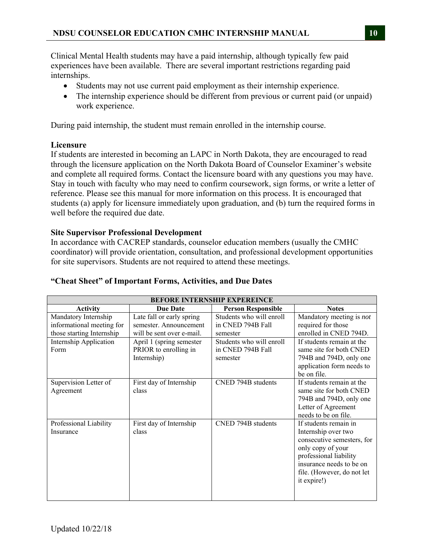Clinical Mental Health students may have a paid internship, although typically few paid experiences have been available. There are several important restrictions regarding paid internships.

- Students may not use current paid employment as their internship experience.
- The internship experience should be different from previous or current paid (or unpaid) work experience.

During paid internship, the student must remain enrolled in the internship course.

# **Licensure**

If students are interested in becoming an LAPC in North Dakota, they are encouraged to read through the licensure application on the North Dakota Board of Counselor Examiner's website and complete all required forms. Contact the licensure board with any questions you may have. Stay in touch with faculty who may need to confirm coursework, sign forms, or write a letter of reference. Please see this manual for more information on this process. It is encouraged that students (a) apply for licensure immediately upon graduation, and (b) turn the required forms in well before the required due date.

## **Site Supervisor Professional Development**

In accordance with CACREP standards, counselor education members (usually the CMHC coordinator) will provide orientation, consultation, and professional development opportunities for site supervisors. Students are not required to attend these meetings.

# **"Cheat Sheet" of Important Forms, Activities, and Due Dates**

| <b>BEFORE INTERNSHIP EXPEREINCE</b>                                            |                                                                                  |                                                           |                                                                                                                                                                                                    |  |  |  |  |
|--------------------------------------------------------------------------------|----------------------------------------------------------------------------------|-----------------------------------------------------------|----------------------------------------------------------------------------------------------------------------------------------------------------------------------------------------------------|--|--|--|--|
| <b>Activity</b>                                                                | <b>Due Date</b>                                                                  | <b>Person Responsible</b>                                 | <b>Notes</b>                                                                                                                                                                                       |  |  |  |  |
| Mandatory Internship<br>informational meeting for<br>those starting Internship | Late fall or early spring<br>semester. Announcement<br>will be sent over e-mail. | Students who will enroll<br>in CNED 794B Fall<br>semester | Mandatory meeting is not<br>required for those<br>enrolled in CNED 794D.                                                                                                                           |  |  |  |  |
| Internship Application<br>Form                                                 | April 1 (spring semester<br>PRIOR to enrolling in<br>Internship)                 | Students who will enroll<br>in CNED 794B Fall<br>semester | If students remain at the<br>same site for both CNED<br>794B and 794D, only one<br>application form needs to<br>be on file.                                                                        |  |  |  |  |
| Supervision Letter of<br>Agreement                                             | First day of Internship<br>class                                                 | CNED 794B students                                        | If students remain at the<br>same site for both CNED<br>794B and 794D, only one<br>Letter of Agreement<br>needs to be on file.                                                                     |  |  |  |  |
| Professional Liability<br>Insurance                                            | First day of Internship<br>class                                                 | CNED 794B students                                        | If students remain in<br>Internship over two<br>consecutive semesters, for<br>only copy of your<br>professional liability<br>insurance needs to be on<br>file. (However, do not let<br>it expire!) |  |  |  |  |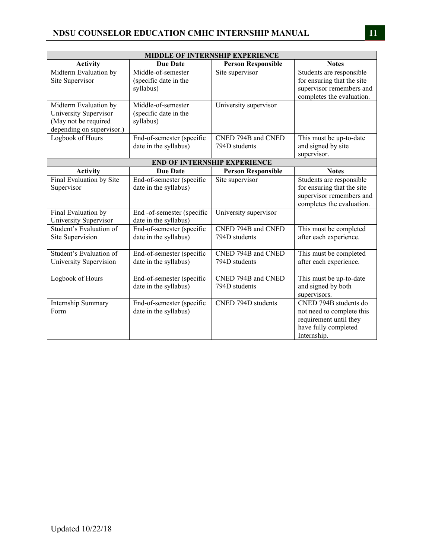| <b>MIDDLE OF INTERNSHIP EXPERIENCE</b>                                                              |                                                          |                                     |                                                                                                                     |  |  |
|-----------------------------------------------------------------------------------------------------|----------------------------------------------------------|-------------------------------------|---------------------------------------------------------------------------------------------------------------------|--|--|
| Activity                                                                                            | <b>Due Date</b>                                          | <b>Person Responsible</b>           | <b>Notes</b>                                                                                                        |  |  |
| Midterm Evaluation by<br>Site Supervisor                                                            | Middle-of-semester<br>(specific date in the<br>syllabus) | Site supervisor                     | Students are responsible<br>for ensuring that the site<br>supervisor remembers and<br>completes the evaluation.     |  |  |
| Midterm Evaluation by<br>University Supervisor<br>(May not be required<br>depending on supervisor.) | Middle-of-semester<br>(specific date in the<br>syllabus) | University supervisor               |                                                                                                                     |  |  |
| Logbook of Hours                                                                                    | End-of-semester (specific<br>date in the syllabus)       | CNED 794B and CNED<br>794D students | This must be up-to-date<br>and signed by site<br>supervisor.                                                        |  |  |
|                                                                                                     |                                                          | <b>END OF INTERNSHIP EXPERIENCE</b> |                                                                                                                     |  |  |
| <b>Activity</b>                                                                                     | <b>Due Date</b>                                          | <b>Person Responsible</b>           | <b>Notes</b>                                                                                                        |  |  |
| Final Evaluation by Site<br>Supervisor                                                              | End-of-semester (specific<br>date in the syllabus)       | Site supervisor                     | Students are responsible<br>for ensuring that the site<br>supervisor remembers and<br>completes the evaluation.     |  |  |
| Final Evaluation by<br>University Supervisor                                                        | End -of-semester (specific<br>date in the syllabus)      | University supervisor               |                                                                                                                     |  |  |
| Student's Evaluation of<br>Site Supervision                                                         | End-of-semester (specific<br>date in the syllabus)       | CNED 794B and CNED<br>794D students | This must be completed<br>after each experience.                                                                    |  |  |
| Student's Evaluation of<br>University Supervision                                                   | End-of-semester (specific<br>date in the syllabus)       | CNED 794B and CNED<br>794D students | This must be completed<br>after each experience.                                                                    |  |  |
| Logbook of Hours                                                                                    | End-of-semester (specific<br>date in the syllabus)       | CNED 794B and CNED<br>794D students | This must be up-to-date<br>and signed by both<br>supervisors.                                                       |  |  |
| Internship Summary<br>Form                                                                          | End-of-semester (specific<br>date in the syllabus)       | CNED 794D students                  | CNED 794B students do<br>not need to complete this<br>requirement until they<br>have fully completed<br>Internship. |  |  |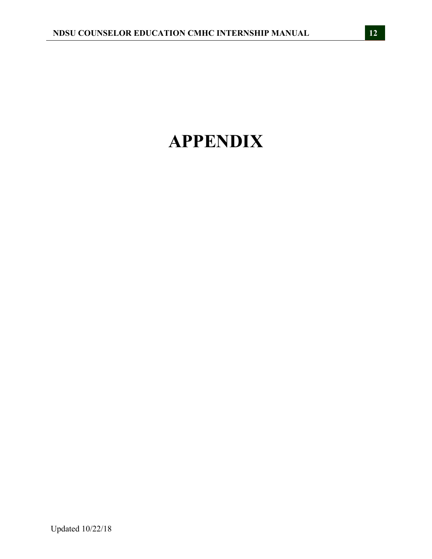# **APPENDIX**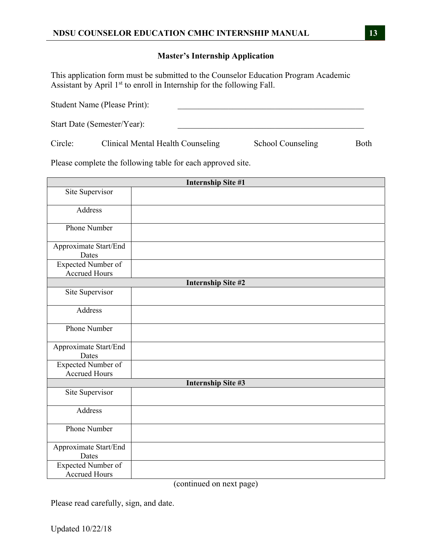# **Master's Internship Application**

This application form must be submitted to the Counselor Education Program Academic Assistant by April 1<sup>st</sup> to enroll in Internship for the following Fall.

|         | Student Name (Please Print):      |                   |      |
|---------|-----------------------------------|-------------------|------|
|         | Start Date (Semester/Year):       |                   |      |
| Circle: | Clinical Mental Health Counseling | School Counseling | Both |

Please complete the following table for each approved site.

|                                            | <b>Internship Site #1</b> |
|--------------------------------------------|---------------------------|
| Site Supervisor                            |                           |
|                                            |                           |
| Address                                    |                           |
| Phone Number                               |                           |
| Approximate Start/End<br>Dates             |                           |
| Expected Number of                         |                           |
| <b>Accrued Hours</b>                       |                           |
|                                            | <b>Internship Site #2</b> |
| Site Supervisor                            |                           |
| Address                                    |                           |
| Phone Number                               |                           |
| Approximate Start/End<br>Dates             |                           |
| Expected Number of<br><b>Accrued Hours</b> |                           |
|                                            | <b>Internship Site #3</b> |
| Site Supervisor                            |                           |
| Address                                    |                           |
| Phone Number                               |                           |
| Approximate Start/End<br>Dates             |                           |
| Expected Number of<br><b>Accrued Hours</b> |                           |

(continued on next page)

Please read carefully, sign, and date.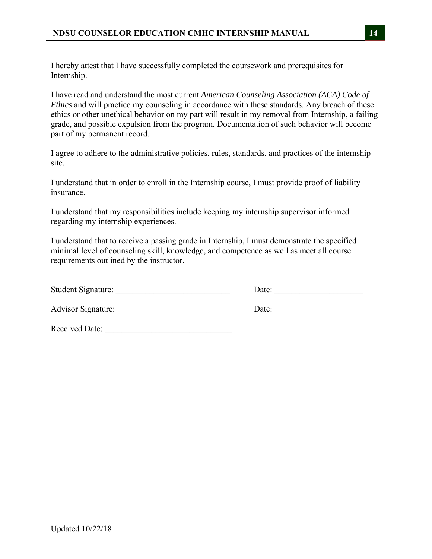I hereby attest that I have successfully completed the coursework and prerequisites for Internship.

I have read and understand the most current *American Counseling Association (ACA) Code of Ethics* and will practice my counseling in accordance with these standards. Any breach of these ethics or other unethical behavior on my part will result in my removal from Internship, a failing grade, and possible expulsion from the program. Documentation of such behavior will become part of my permanent record.

I agree to adhere to the administrative policies, rules, standards, and practices of the internship site.

I understand that in order to enroll in the Internship course, I must provide proof of liability insurance.

I understand that my responsibilities include keeping my internship supervisor informed regarding my internship experiences.

I understand that to receive a passing grade in Internship, I must demonstrate the specified minimal level of counseling skill, knowledge, and competence as well as meet all course requirements outlined by the instructor.

| Student Signature:        | Date: |
|---------------------------|-------|
| <b>Advisor Signature:</b> | Date: |
| Received Date:            |       |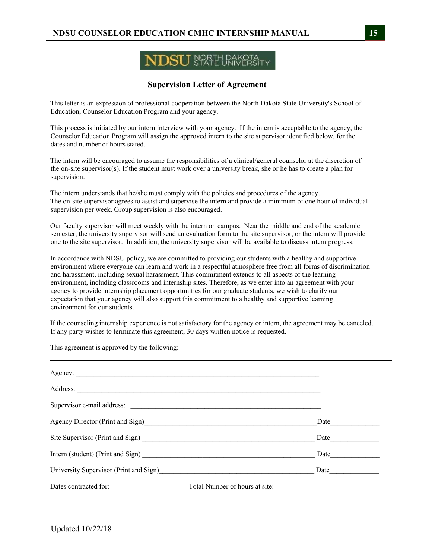# NORTH DAKOTA

# **Supervision Letter of Agreement**

This letter is an expression of professional cooperation between the North Dakota State University's School of Education, Counselor Education Program and your agency.

This process is initiated by our intern interview with your agency. If the intern is acceptable to the agency, the Counselor Education Program will assign the approved intern to the site supervisor identified below, for the dates and number of hours stated.

The intern will be encouraged to assume the responsibilities of a clinical/general counselor at the discretion of the on-site supervisor(s). If the student must work over a university break, she or he has to create a plan for supervision.

The intern understands that he/she must comply with the policies and procedures of the agency. The on-site supervisor agrees to assist and supervise the intern and provide a minimum of one hour of individual supervision per week. Group supervision is also encouraged.

Our faculty supervisor will meet weekly with the intern on campus. Near the middle and end of the academic semester, the university supervisor will send an evaluation form to the site supervisor, or the intern will provide one to the site supervisor. In addition, the university supervisor will be available to discuss intern progress.

In accordance with NDSU policy, we are committed to providing our students with a healthy and supportive environment where everyone can learn and work in a respectful atmosphere free from all forms of discrimination and harassment, including sexual harassment. This commitment extends to all aspects of the learning environment, including classrooms and internship sites. Therefore, as we enter into an agreement with your agency to provide internship placement opportunities for our graduate students, we wish to clarify our expectation that your agency will also support this commitment to a healthy and supportive learning environment for our students.

If the counseling internship experience is not satisfactory for the agency or intern, the agreement may be canceled. If any party wishes to terminate this agreement, 30 days written notice is requested.

This agreement is approved by the following:

| Address:                                                                    |                                |      |
|-----------------------------------------------------------------------------|--------------------------------|------|
|                                                                             |                                |      |
| Agency Director (Print and Sign)<br><u>Agency Director</u> (Print and Sign) |                                | Date |
|                                                                             |                                | Date |
|                                                                             |                                | Date |
| University Supervisor (Print and Sign)                                      |                                | Date |
| Dates contracted for:                                                       | Total Number of hours at site: |      |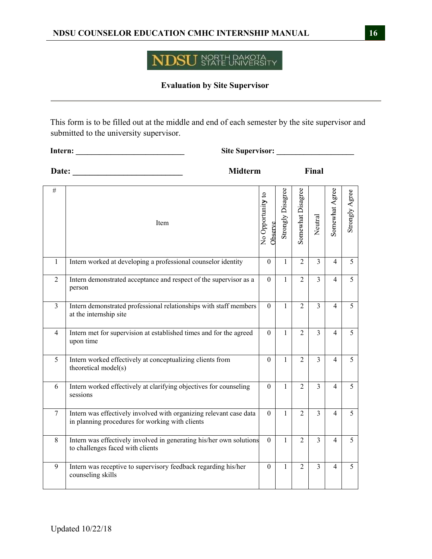#### NORTH DAKOTA<br>STATE UNIVERSITY )SU NI

# **Evaluation by Site Supervisor**

This form is to be filled out at the middle and end of each semester by the site supervisor and submitted to the university supervisor.

| Intern:        | <b>Site Supervisor:</b>                                                                                               |                              |                   |                   |                |                |                |
|----------------|-----------------------------------------------------------------------------------------------------------------------|------------------------------|-------------------|-------------------|----------------|----------------|----------------|
| Date:          | <b>Midterm</b>                                                                                                        |                              |                   |                   | Final          |                |                |
| #              | Item                                                                                                                  | No Opportunity to<br>Observe | Strongly Disagree | Somewhat Disagree | Neutral        | Somewhat Agree | Strongly Agree |
| $\mathbf{1}$   | Intern worked at developing a professional counselor identity                                                         | $\mathbf{0}$                 | $\mathbf{1}$      | $\overline{2}$    | $\overline{3}$ | 4              | 5              |
| $\overline{2}$ | Intern demonstrated acceptance and respect of the supervisor as a<br>person                                           | $\theta$                     | 1                 | $\overline{2}$    | $\overline{3}$ | 4              | 5              |
| $\mathfrak{Z}$ | Intern demonstrated professional relationships with staff members<br>at the internship site                           | $\theta$                     | $\mathbf{1}$      | $\overline{2}$    | $\overline{3}$ | $\overline{4}$ | 5              |
| $\overline{4}$ | Intern met for supervision at established times and for the agreed<br>upon time                                       | $\theta$                     | 1                 | $\overline{2}$    | $\overline{3}$ | 4              | 5              |
| 5              | Intern worked effectively at conceptualizing clients from<br>theoretical model(s)                                     | $\theta$                     | 1                 | $\overline{2}$    | $\overline{3}$ | $\overline{4}$ | 5              |
| 6              | Intern worked effectively at clarifying objectives for counseling<br>sessions                                         | $\theta$                     | 1                 | 2                 | $\mathfrak{Z}$ | 4              | 5 <sup>5</sup> |
| $\overline{7}$ | Intern was effectively involved with organizing relevant case data<br>in planning procedures for working with clients | $\theta$                     | $\mathbf{1}$      | $\overline{2}$    | $\overline{3}$ | $\overline{4}$ | 5              |
| 8              | Intern was effectively involved in generating his/her own solutions<br>to challenges faced with clients               | $\theta$                     | 1                 | 2                 | 3              | 4              | 5 <sup>1</sup> |
| 9              | Intern was receptive to supervisory feedback regarding his/her<br>counseling skills                                   | $\theta$                     | 1                 | $\overline{2}$    | 3              | 4              | 5              |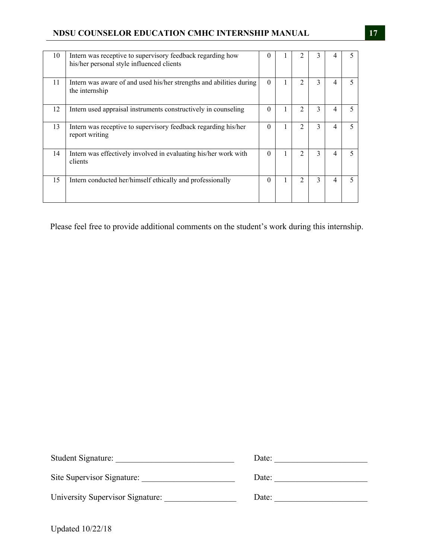| 10 | Intern was receptive to supervisory feedback regarding how<br>his/her personal style influenced clients | $\Omega$ |   |                               | 3 |   |  |
|----|---------------------------------------------------------------------------------------------------------|----------|---|-------------------------------|---|---|--|
| 11 | Intern was aware of and used his/her strengths and abilities during<br>the internship                   | $\Omega$ |   | $\mathfrak{D}_{\mathfrak{p}}$ | 3 | 4 |  |
| 12 | Intern used appraisal instruments constructively in counseling                                          | 0        |   | $\mathfrak{D}$                | 3 |   |  |
| 13 | Intern was receptive to supervisory feedback regarding his/her<br>report writing                        | $\Omega$ |   | $\mathfrak{D}$                | 3 |   |  |
| 14 | Intern was effectively involved in evaluating his/her work with<br>clients                              | $\Omega$ | 1 | $\overline{c}$                | 3 | Δ |  |
| 15 | Intern conducted her/himself ethically and professionally                                               | $\Omega$ |   | $\mathfrak{D}$                | 3 |   |  |

Please feel free to provide additional comments on the student's work during this internship.

| Student Signature:               | Date: |
|----------------------------------|-------|
| Site Supervisor Signature:       | Date: |
| University Supervisor Signature: | Date: |

Updated 10/22/18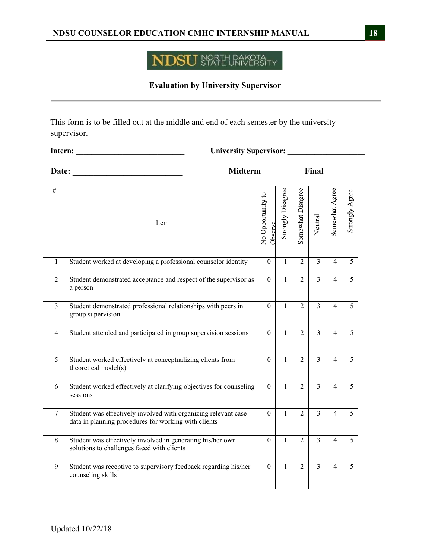#### NORTH DAKOTA<br>STATE UNIVERSITY **NDSU**

# **Evaluation by University Supervisor**

This form is to be filled out at the middle and end of each semester by the university supervisor.

| <b>University Supervisor:</b><br>Intern: |                                                                                                                        |                              |                   |                   |                |                          |                   |
|------------------------------------------|------------------------------------------------------------------------------------------------------------------------|------------------------------|-------------------|-------------------|----------------|--------------------------|-------------------|
| Date:                                    | <b>Midterm</b><br>Final                                                                                                |                              |                   |                   |                |                          |                   |
| #                                        | Item                                                                                                                   | No Opportunity to<br>Observe | Strongly Disagree | Somewhat Disagree | Neutral        | Somewhat Agree           | Agree<br>Strongly |
| $\mathbf{1}$                             | Student worked at developing a professional counselor identity                                                         | $\overline{0}$               | $\mathbf{1}$      | $\overline{2}$    | $\overline{3}$ | $\overline{\mathcal{L}}$ | 5                 |
| $\overline{2}$                           | Student demonstrated acceptance and respect of the supervisor as<br>a person                                           | $\theta$                     | $\mathbf{1}$      | $\overline{2}$    | $\overline{3}$ | 4                        | 5                 |
| 3                                        | Student demonstrated professional relationships with peers in<br>group supervision                                     | $\theta$                     | 1                 | $\overline{2}$    | $\overline{3}$ | 4                        | 5                 |
| 4                                        | Student attended and participated in group supervision sessions                                                        | $\theta$                     | 1                 | $\overline{2}$    | $\overline{3}$ | 4                        | 5                 |
| 5                                        | Student worked effectively at conceptualizing clients from<br>theoretical model(s)                                     | $\theta$                     | $\mathbf{1}$      | $\overline{2}$    | $\overline{3}$ | 4                        | 5                 |
| 6                                        | Student worked effectively at clarifying objectives for counseling<br>sessions                                         | $\mathbf{0}$                 | $\mathbf{1}$      | $\overline{2}$    | $\overline{3}$ | $\overline{\mathcal{L}}$ | 5                 |
| $\tau$                                   | Student was effectively involved with organizing relevant case<br>data in planning procedures for working with clients | $\theta$                     | $\mathbf{1}$      | $\overline{2}$    | $\overline{3}$ | 4                        | 5                 |
| 8                                        | Student was effectively involved in generating his/her own<br>solutions to challenges faced with clients               | $\mathbf{0}$                 | $\mathbf{1}$      | 2                 | 3              | 4                        | 5                 |
| 9                                        | Student was receptive to supervisory feedback regarding his/her<br>counseling skills                                   | $\boldsymbol{0}$             | $\mathbf{1}$      | $\overline{2}$    | $\mathfrak{Z}$ | 4                        | 5                 |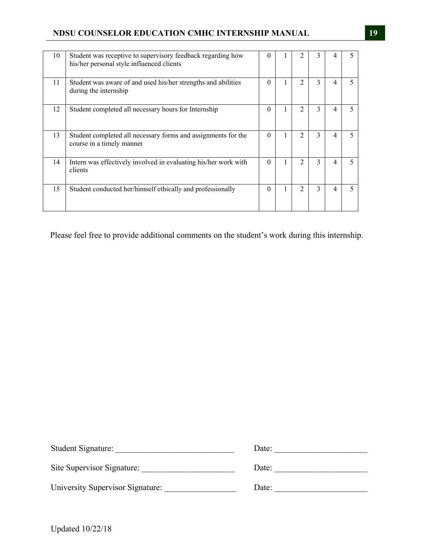| 10 | Student was receptive to supervisory feedback regarding how<br>his/her personal style influenced clients | $\theta$ |   | 2              | 3 |   |  |
|----|----------------------------------------------------------------------------------------------------------|----------|---|----------------|---|---|--|
| 11 | Student was aware of and used his/her strengths and abilities<br>during the internship                   | $\Omega$ |   | $\mathfrak{D}$ | 3 |   |  |
| 12 | Student completed all necessary hours for Internship                                                     | $\theta$ |   | $\mathfrak{D}$ | 3 |   |  |
| 13 | Student completed all necessary forms and assignments for the<br>course in a timely manner               | $\Omega$ |   | $\mathfrak{D}$ | 3 |   |  |
| 14 | Intern was effectively involved in evaluating his/her work with<br>clients                               | $\Omega$ |   |                | 3 |   |  |
| 15 | Student conducted her/himself ethically and professionally                                               | $\Omega$ | 1 | 2              | 3 | 4 |  |

Please feel free to provide additional comments on the student's work during this internship.

| Student Signature:               | Date: |
|----------------------------------|-------|
| Site Supervisor Signature:       | Date: |
| University Supervisor Signature: | Date: |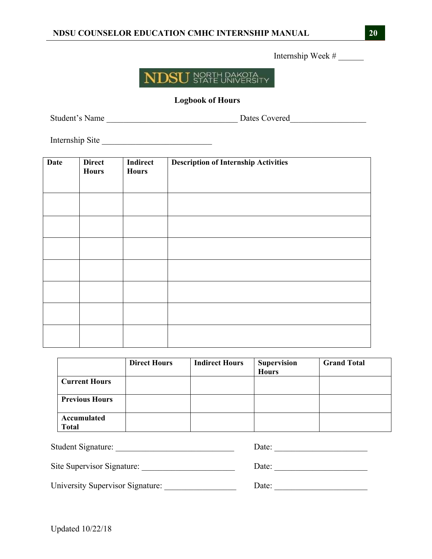Internship Week # \_\_\_\_\_\_



# **Logbook of Hours**

Student's Name \_\_\_\_\_\_\_\_\_\_\_\_\_\_\_\_\_\_\_\_\_\_\_\_\_\_\_\_\_\_\_ Dates Covered\_\_\_\_\_\_\_\_\_\_\_\_\_\_\_\_\_\_

Internship Site

| <b>Date</b> | <b>Direct</b><br><b>Hours</b> | <b>Indirect</b><br><b>Hours</b> | <b>Description of Internship Activities</b> |
|-------------|-------------------------------|---------------------------------|---------------------------------------------|
|             |                               |                                 |                                             |
|             |                               |                                 |                                             |
|             |                               |                                 |                                             |
|             |                               |                                 |                                             |
|             |                               |                                 |                                             |
|             |                               |                                 |                                             |
|             |                               |                                 |                                             |

|                       | <b>Direct Hours</b> | <b>Indirect Hours</b> | <b>Supervision</b><br><b>Hours</b> | <b>Grand Total</b> |
|-----------------------|---------------------|-----------------------|------------------------------------|--------------------|
| <b>Current Hours</b>  |                     |                       |                                    |                    |
| <b>Previous Hours</b> |                     |                       |                                    |                    |
| Accumulated<br>Total  |                     |                       |                                    |                    |

| Student Signature:               | Date: |
|----------------------------------|-------|
| Site Supervisor Signature:       | Date: |
| University Supervisor Signature: | Date: |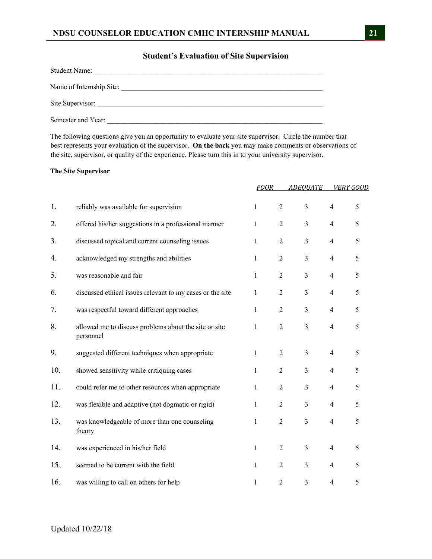#### **Student's Evaluation of Site Supervision**

| <b>Student Name:</b>     |
|--------------------------|
| Name of Internship Site: |
| Site Supervisor:         |
| Semester and Year:       |

The following questions give you an opportunity to evaluate your site supervisor. Circle the number that best represents your evaluation of the supervisor. **On the back** you may make comments or observations of the site, supervisor, or quality of the experience. Please turn this in to your university supervisor.

#### **The Site Supervisor**

|     |                                                                    | <b>POOR</b>  |                | <b>ADEOUATE</b> |                | <b>VERY GOOD</b> |
|-----|--------------------------------------------------------------------|--------------|----------------|-----------------|----------------|------------------|
| 1.  | reliably was available for supervision                             | $\mathbf{1}$ | $\overline{c}$ | 3               | $\overline{4}$ | 5                |
| 2.  | offered his/her suggestions in a professional manner               | $\mathbf{1}$ | $\overline{c}$ | 3               | $\overline{4}$ | 5                |
| 3.  | discussed topical and current counseling issues                    | $\mathbf{1}$ | 2              | 3               | $\overline{4}$ | 5                |
| 4.  | acknowledged my strengths and abilities                            | 1            | $\overline{2}$ | 3               | $\overline{4}$ | 5                |
| 5.  | was reasonable and fair                                            | $\mathbf{1}$ | $\overline{c}$ | 3               | $\overline{4}$ | 5                |
| 6.  | discussed ethical issues relevant to my cases or the site          | $\mathbf{1}$ | $\overline{c}$ | 3               | $\overline{4}$ | 5                |
| 7.  | was respectful toward different approaches                         | $\mathbf{1}$ | $\overline{c}$ | 3               | $\overline{4}$ | 5                |
| 8.  | allowed me to discuss problems about the site or site<br>personnel | 1            | $\mathfrak{2}$ | 3               | $\overline{4}$ | 5                |
| 9.  | suggested different techniques when appropriate                    | $\mathbf{1}$ | $\overline{c}$ | 3               | $\overline{4}$ | 5                |
| 10. | showed sensitivity while critiquing cases                          | $\mathbf{1}$ | $\overline{2}$ | 3               | $\overline{4}$ | 5                |
| 11. | could refer me to other resources when appropriate                 | 1            | $\overline{2}$ | 3               | $\overline{4}$ | 5                |
| 12. | was flexible and adaptive (not dogmatic or rigid)                  | $\mathbf{1}$ | $\overline{c}$ | 3               | $\overline{4}$ | 5                |
| 13. | was knowledgeable of more than one counseling<br>theory            | $\mathbf{1}$ | $\overline{c}$ | 3               | $\overline{4}$ | 5                |
| 14. | was experienced in his/her field                                   | $\mathbf{1}$ | $\overline{c}$ | 3               | $\overline{4}$ | 5                |
| 15. | seemed to be current with the field                                | $\mathbf{1}$ | $\overline{c}$ | 3               | $\overline{4}$ | 5                |
| 16. | was willing to call on others for help                             | $\mathbf{1}$ | $\overline{2}$ | 3               | $\overline{4}$ | 5                |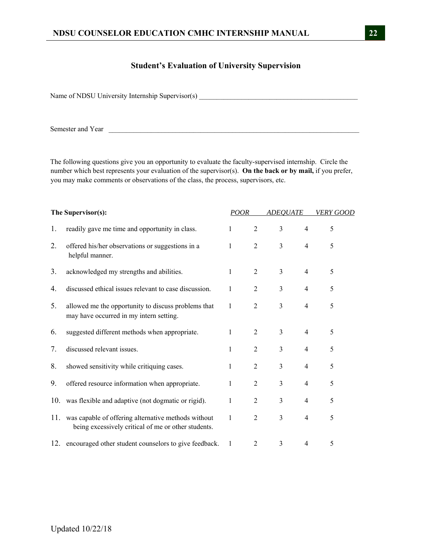### **Student's Evaluation of University Supervision**

Name of NDSU University Internship Supervisor(s) \_\_\_\_\_\_\_\_\_\_\_\_\_\_\_\_\_\_\_\_\_\_\_\_\_\_\_\_\_\_\_\_\_\_\_\_\_\_\_\_\_\_\_\_\_

Semester and Year \_\_\_\_\_\_\_\_\_\_\_\_\_\_\_\_\_\_\_\_\_\_\_\_\_\_\_\_\_\_\_\_\_\_\_\_\_\_\_\_\_\_\_\_\_\_\_\_\_\_\_\_\_\_\_\_\_\_\_\_\_\_\_\_\_\_\_\_\_\_\_

The following questions give you an opportunity to evaluate the faculty-supervised internship. Circle the number which best represents your evaluation of the supervisor(s). **On the back or by mail,** if you prefer, you may make comments or observations of the class, the process, supervisors, etc.

| The Supervisor(s): |                                                                                                            | POOR         |                | <b>ADEQUATE</b> |                | <i>VERY GOOD</i> |  |
|--------------------|------------------------------------------------------------------------------------------------------------|--------------|----------------|-----------------|----------------|------------------|--|
| 1.                 | readily gave me time and opportunity in class.                                                             | 1            | $\overline{2}$ | 3               | $\overline{4}$ | 5                |  |
| 2.                 | offered his/her observations or suggestions in a<br>helpful manner.                                        | $\mathbf{1}$ | $\overline{2}$ | 3               | $\overline{4}$ | 5                |  |
| 3.                 | acknowledged my strengths and abilities.                                                                   | 1            | $\overline{2}$ | 3               | $\overline{4}$ | 5                |  |
| 4.                 | discussed ethical issues relevant to case discussion.                                                      | 1            | $\overline{2}$ | 3               | $\overline{4}$ | 5                |  |
| 5.                 | allowed me the opportunity to discuss problems that<br>may have occurred in my intern setting.             | $\mathbf{1}$ | $\overline{2}$ | 3               | $\overline{4}$ | 5                |  |
| 6.                 | suggested different methods when appropriate.                                                              | 1            | $\overline{2}$ | 3               | $\overline{4}$ | 5                |  |
| 7.                 | discussed relevant issues.                                                                                 | $\mathbf{1}$ | $\overline{2}$ | 3               | $\overline{4}$ | 5                |  |
| 8.                 | showed sensitivity while critiquing cases.                                                                 | 1            | $\overline{2}$ | 3               | $\overline{4}$ | 5                |  |
| 9.                 | offered resource information when appropriate.                                                             | 1            | $\overline{2}$ | 3               | $\overline{4}$ | 5                |  |
|                    | 10. was flexible and adaptive (not dogmatic or rigid).                                                     | 1            | $\overline{2}$ | 3               | $\overline{4}$ | 5                |  |
| 11.                | was capable of offering alternative methods without<br>being excessively critical of me or other students. | 1            | $\overline{2}$ | 3               | $\overline{4}$ | 5                |  |
|                    | 12. encouraged other student counselors to give feedback.                                                  | 1            | 2              | 3               | $\overline{4}$ | 5                |  |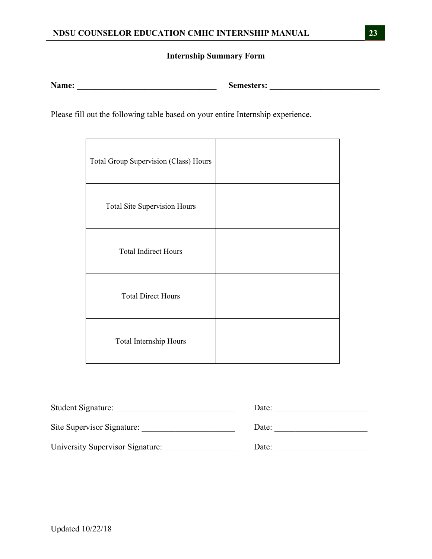# **Internship Summary Form**

**Name: \_\_\_\_\_\_\_\_\_\_\_\_\_\_\_\_\_\_\_\_\_\_\_\_\_\_\_\_\_\_\_\_\_ Semesters: \_\_\_\_\_\_\_\_\_\_\_\_\_\_\_\_\_\_\_\_\_\_\_\_\_\_** 

Please fill out the following table based on your entire Internship experience.

| Total Group Supervision (Class) Hours |  |
|---------------------------------------|--|
| <b>Total Site Supervision Hours</b>   |  |
| <b>Total Indirect Hours</b>           |  |
| <b>Total Direct Hours</b>             |  |
| Total Internship Hours                |  |

| Student Signature:               | Date: |
|----------------------------------|-------|
| Site Supervisor Signature:       | Date: |
| University Supervisor Signature: | Date: |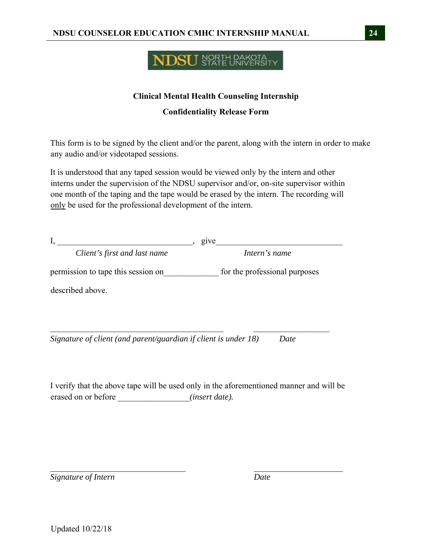# **NDSU** SPATE UNIVERSITY

# **Clinical Mental Health Counseling Internship**

**Confidentiality Release Form**

This form is to be signed by the client and/or the parent, along with the intern in order to make any audio and/or videotaped sessions.

It is understood that any taped session would be viewed only by the intern and other interns under the supervision of the NDSU supervisor and/or, on-site supervisor within one month of the taping and the tape would be erased by the intern. The recording will only be used for the professional development of the intern.

| ı.                                 | give                          |
|------------------------------------|-------------------------------|
| Client's first and last name       | Intern's name                 |
| permission to tape this session on | for the professional purposes |
| described above.                   |                               |
|                                    |                               |
|                                    |                               |

*Signature of client (and parent/guardian if client is under 18) Date* 

I verify that the above tape will be used only in the aforementioned manner and will be erased on or before  $(insert date).$ 

*Signature of Intern Date*